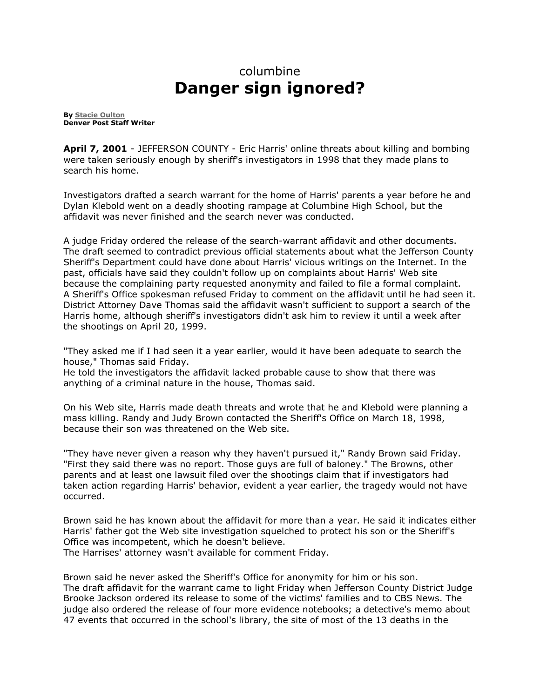## columbine **Danger sign ignored?**

**By [Stacie Oulton](mailto:soulton@denverpost.com) Denver Post Staff Writer**

**April 7, 2001** - JEFFERSON COUNTY - Eric Harris' online threats about killing and bombing were taken seriously enough by sheriff's investigators in 1998 that they made plans to search his home.

Investigators drafted a search warrant for the home of Harris' parents a year before he and Dylan Klebold went on a deadly shooting rampage at Columbine High School, but the affidavit was never finished and the search never was conducted.

A judge Friday ordered the release of the search-warrant affidavit and other documents. The draft seemed to contradict previous official statements about what the Jefferson County Sheriff's Department could have done about Harris' vicious writings on the Internet. In the past, officials have said they couldn't follow up on complaints about Harris' Web site because the complaining party requested anonymity and failed to file a formal complaint. A Sheriff's Office spokesman refused Friday to comment on the affidavit until he had seen it. District Attorney Dave Thomas said the affidavit wasn't sufficient to support a search of the Harris home, although sheriff's investigators didn't ask him to review it until a week after the shootings on April 20, 1999.

"They asked me if I had seen it a year earlier, would it have been adequate to search the house," Thomas said Friday.

He told the investigators the affidavit lacked probable cause to show that there was anything of a criminal nature in the house, Thomas said.

On his Web site, Harris made death threats and wrote that he and Klebold were planning a mass killing. Randy and Judy Brown contacted the Sheriff's Office on March 18, 1998, because their son was threatened on the Web site.

"They have never given a reason why they haven't pursued it," Randy Brown said Friday. "First they said there was no report. Those guys are full of baloney." The Browns, other parents and at least one lawsuit filed over the shootings claim that if investigators had taken action regarding Harris' behavior, evident a year earlier, the tragedy would not have occurred.

Brown said he has known about the affidavit for more than a year. He said it indicates either Harris' father got the Web site investigation squelched to protect his son or the Sheriff's Office was incompetent, which he doesn't believe. The Harrises' attorney wasn't available for comment Friday.

Brown said he never asked the Sheriff's Office for anonymity for him or his son. The draft affidavit for the warrant came to light Friday when Jefferson County District Judge Brooke Jackson ordered its release to some of the victims' families and to CBS News. The judge also ordered the release of four more evidence notebooks; a detective's memo about 47 events that occurred in the school's library, the site of most of the 13 deaths in the